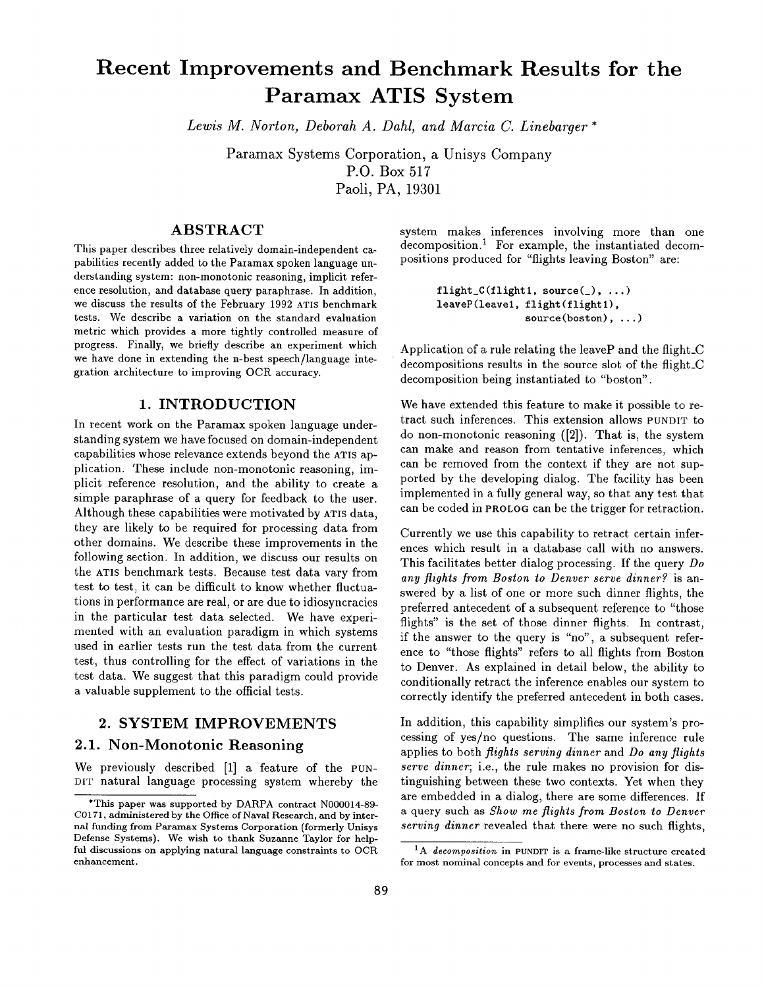# **Recent Improvements and Benchmark Results for the Paramax ATIS System**

*Lewis M. Norton, Deborah A. Dahl, and Marcia C. Linebarger \** 

Paramax Systems Corporation, a Unisys Company P.O. Box 517 Paoli, PA, 19301

# ABSTRACT

This paper describes three relatively domain-independent **capabilities** recently **added to the** Paramax spoken language understanding system: non-monotonic reasoning, implicit reference resolution, and database query paraphrase. In addition, we discuss the results of the February 1992 ATIS benchmark tests. We describe a variation on the standard evaluation metric which provides a more tightly controlled measure of progress. Finally, we briefly describe an experiment which we have done in extending the n-best speech/language integration architecture to improving OCR accuracy.

## 1. INTRODUCTION

In recent work on the Paramax spoken language understanding system we have focused on domain-independent capabilities whose relevance extends beyond the ATIS application. These include non-monotonic reasoning, implicit reference resolution, and the ability to create a simple paraphrase of a query for feedback to the user. Although these capabilities were motivated by ATIS data, they are likely to be required for processing data from other domains. We describe these improvements in the following section. In addition, we discuss our results on the ATIS benchmark tests. Because test data vary from test to test, it can be difficult to know whether fluctuations in performance are real, or are due to idiosyncracies in the particular test data selected. We have experimented with an evaluation paradigm in which systems used in earlier tests run the test data from the current test, thus controlling for the effect of variations in the test data. We suggest that this paradigm could provide a valuable supplement to the official tests.

## 2. SYSTEM IMPROVEMENTS

# 2.1. Non-Monotonic Reasoning

We previously described [1] a feature of the PUN-DIT natural language processing system whereby the system makes inferences involving more than one decomposition.<sup>1</sup> For example, the instantiated decompositions produced for "flights leaving Boston" are:

> flight\_ $C(flight1, source($ , ...) leaveP(leavel, flight(flightl), source(boston), ...)

Application of a rule relating the leaveP and the flight\_C decompositions results in the source slot of the flight\_C decomposition being instantiated to "boston".

We have extended this feature to make it possible to retract such inferences. This extension allows PUNDIT to do non-monotonic reasoning ([2]). That is, the system can make and reason from tentative inferences, which can be removed from the context if they are not supported by the developing dialog. The facility has been implemented in a fully general way, so that any test that can be coded in PROLOG can be the trigger for retraction.

Currently we use this capability to retract certain inferences which result in a database call with no answers. This facilitates better dialog processing. If the query *Do any flights from Boston to Denver serve dinner?* is answered by a list of one or more such dinner flights, the preferred antecedent of a subsequent reference to "those flights" is the set of those dinner flights. In contrast, if the answer to the query is "no", a subsequent reference to "those flights" refers to all flights from Boston to Denver. As explained in detail below, the ability to conditionally retract the inference enables our system to correctly identify the preferred antecedent in both cases.

In addition, this capability simplifies our system's processing of yes/no questions. The same inference rule applies to both *flights serving dinner* and *Do any flights serve dinner;* i.e., the rule makes no provision for distinguishing between these two contexts. Yet when they are embedded in a dialog, there are some differences. If a query such as *Show me flights from Boston to Denver serving dinner* revealed that there were no such flights,

<sup>\*</sup>This paper **was supported** by DARPA contract N000014-89- C0171, administered by the Office of Naval **Research, and** by internal funding from Paramax Systems Corporation (formerly Unisys **Defense** Systems). We wish to thank Suzanne Taylor for helpful discussions on applying natural language constraints to OCR enhancement.

<sup>&</sup>lt;sup>1</sup>A *decomposition* in PUNDIT is a frame-like structure created for most nominal concepts and for events, processes and states.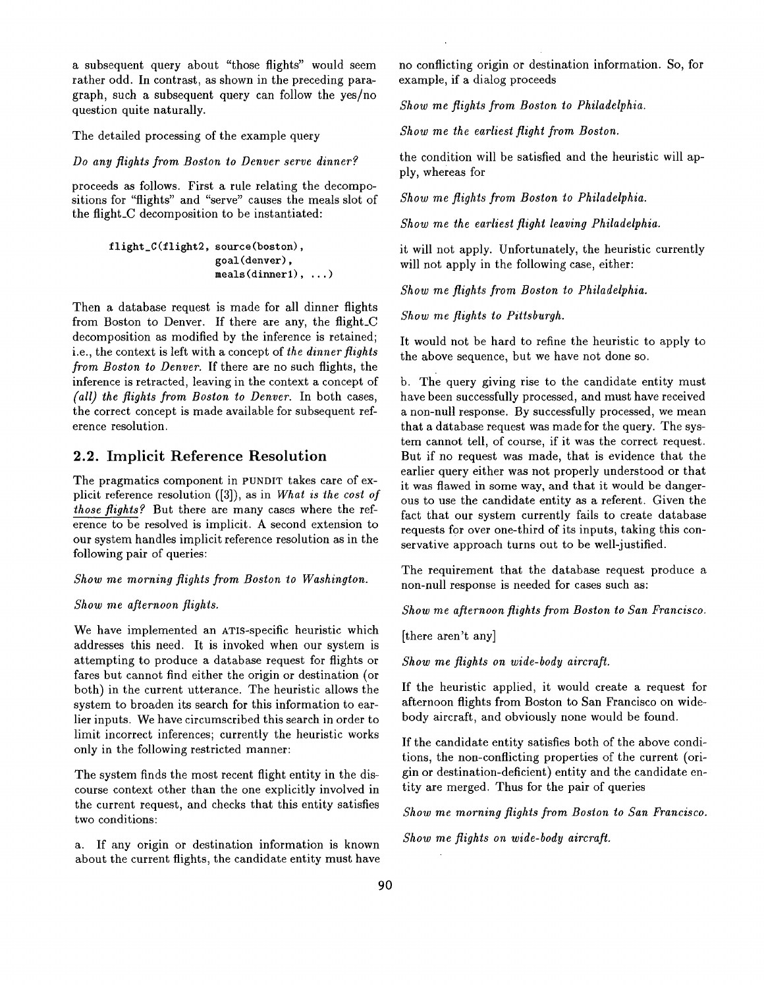a subsequent query about "those flights" would seem rather odd. In contrast, as shown in the preceding paragraph, such a subsequent query can follow the yes/no question quite naturally.

The detailed processing of the example query

*Do any flights from Boston to Denver serve dinner?* 

proceeds as follows. First a rule relating the decompositions for "flights" and "serve" causes the meals slot of the flight\_C decomposition to be instantiated:

```
flight_C(flight2, source(boston), 
                  goal(denver), 
                  meals(dinner1), ...)
```
Then a database request is made for all dinner flights from Boston to Denver. If there are any, the flight\_C decomposition as modified by the inference is retained; i.e., the context is left with a concept of *the dinner flights from Boston to Denver.* If there are no such flights, the inference is retracted, leaving in the context a concept of *(all) the flights from Boston to Denver.* In both cases, the correct concept is made available for subsequent reference resolution.

## **2.2. Implicit Reference Resolution**

The pragmatics component in PUNDIT takes care of explicit reference resolution ([3]), as in *What is the cost of those flights?* But there are many cases where the reference to be resolved is implicit. A second extension to our system handles implicit reference resolution as in the following pair of queries:

*Show me morning flights from Boston to Washington.* 

#### *Show me afternoon flights.*

We have implemented an ATIS-specific heuristic which addresses this need. It is invoked when our system is attempting to produce a database request for flights or fares but cannot find either the origin or destination (or both) in the current utterance. The heuristic allows the system to broaden its search for this information to earlier inputs. We have circumscribed this search in order to limit incorrect inferences; currently the heuristic works only in the following restricted manner:

The system finds the most recent flight entity in the discourse context other than the one explicitly involved in the current request, and checks that this entity satisfies two conditions:

a. If any origin or destination information is known about the current flights, the candidate entity must have no conflicting origin or destination information. So, for example, if a dialog proceeds

*Show me flights from Boston to Philadelphia.* 

*Show me the earliest flight from Boston.* 

the condition will be satisfied and the heuristic will apply, whereas for

*Show me flights from Boston to Philadelphia.* 

*Show me the earliest flight leaving Philadelphia.* 

it **will** not apply. Unfortunately, the heuristic currently will not apply in the following case, either:

*Show me flights from Boston to Philadelphia.* 

*Show me flights to Pittsburgh.* 

It would not be hard to refine the heuristic to apply to the above sequence, but we have not done so.

b. The query giving rise to the candidate entity must have been successfully processed, and must have received a non-null response. By successfully processed, we mean that a database request was made for the query. The system cannot tell, of course, if it was the correct request. But if no request was made, that is evidence that the earlier query either was not properly understood or that it was flawed in some way, and that it would be dangerous to use the candidate entity as a referent. Given the fact that our system currently fails to create database requests for over one-third of its inputs, taking this conservative approach turns out to be well-justified.

The requirement that the database request produce a non-null response is needed for cases such as:

*Show me afternoon flights from Boston to San Francisco.* 

[there aren't any]

*Show me flights on wide-body aircraft.* 

If the heuristic applied, it would create a request for afternoon flights from Boston to San Francisco on widebody aircraft, and obviously none would be found.

If the candidate entity satisfies both of the above conditions, the non-conflicting properties of the current (origin or destination-deficient) entity and the candidate entity are merged. Thus for the pair of queries

*Show me morning flights from Boston to San Francisco.* 

*Show me flights on wide-body aircraft.*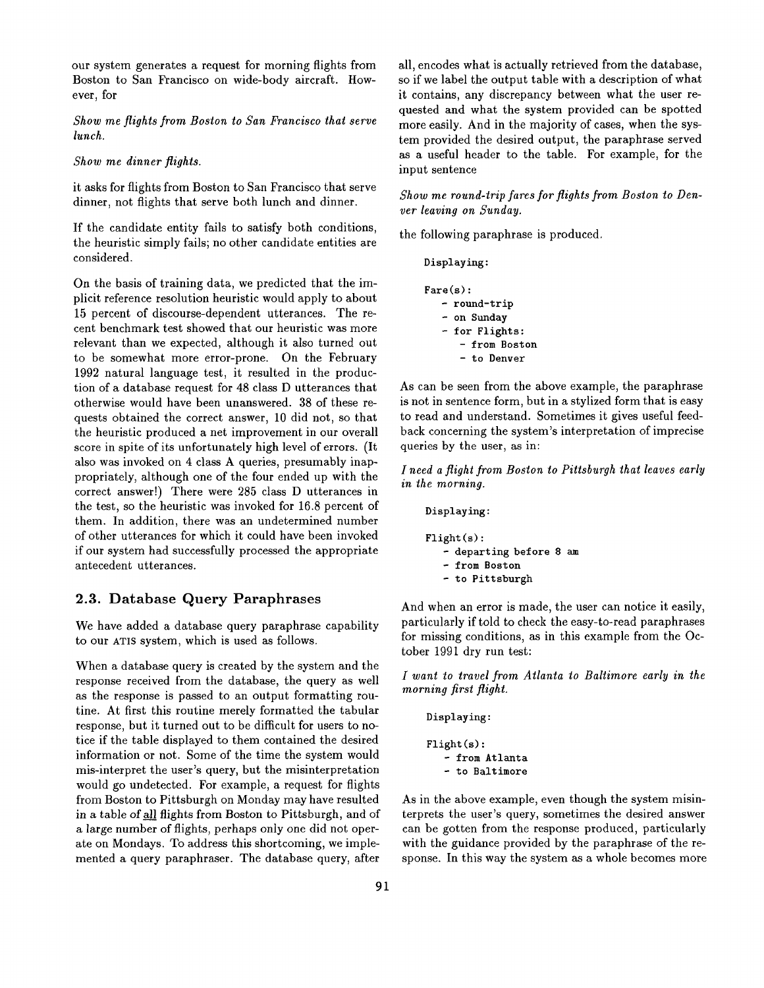our system generates a request for morning flights from Boston to San Francisco on wide-body aircraft. However, for

*Show me flights from Boston to San Francisco that serve lunch.* 

#### *Show me dinner flights.*

it asks for flights from Boston to San Francisco that serve dinner, not flights that serve both lunch and dinner.

If the candidate entity fails to satisfy both conditions, the heuristic simply fails; no other candidate entities are considered.

On the basis of training data, we predicted that the implicit reference resolution heuristic would apply to about 15 percent of discourse-dependent utterances. The recent benchmark test showed that our heuristic was more relevant than we expected, although it also turned out to be somewhat more error-prone. On the February 1992 natural language test, it resulted in the production of a database request for 48 class D utterances that otherwise would have been unanswered. 38 of these requests obtained the correct answer, 10 did not, so that the heuristic produced a net improvement in our overall score in spite of its unfortunately high level of errors. (It also was invoked on 4 class A queries, presumably inappropriately, although one of the four ended up with the correct answer!) There were 285 class D utterances in the test, so the heuristic was invoked for 16.8 percent of them. In addition, there was an undetermined number of other utterances for which it could have been invoked if our system had successfully processed the appropriate antecedent utterances.

## 2.3. Database Query Paraphrases

We have added a database query paraphrase capability to our ATIS system, which is used as follows.

When a database query is created by the system and the response received from the database, the query as well as the response is passed to an output formatting routine. At first this routine merely formatted the tabular response, but it turned out to be difficult for users to notice if the table displayed to them contained the desired information or not. Some of the time the system would mis-interpret the user's query, but the misinterpretation would go undetected. For example, a request for flights from Boston to Pittsburgh on Monday may have resulted in a table of all flights from Boston to Pittsburgh, and of a large number of flights, perhaps only one did not operate on Mondays. To address this shortcoming, we implemented a query paraphraser. The database query, after

all, encodes what is actually retrieved from the database, so if we label the output table with a description of what it contains, any discrepancy between what the user requested and what the system provided can be spotted more easily. And in the majority of cases, when the system provided the desired output, the paraphrase served as a useful header to the table. For example, for the input sentence

*Show me round-trip fares for flights from Boston to Denver leaving on Sunday.* 

the following paraphrase is produced.

Displaying:

```
Fare(s): 
   - round-trip 
   - on Sunday 
   - for Flights: 
      - from Boston 
      - to Denver
```
As can be seen from the above example, the paraphrase is not in sentence form, but in a stylized form that is easy to read and understand. Sometimes it gives useful feedback concerning the system's interpretation of imprecise queries by the user, as in:

*I need a flight from Boston to Pittsburgh that leaves early in the morning.* 

```
Displaying : 
Flight(s) : 
   - departing before 8 am 
   - from Boston 
     to Pittsburgh
```
And when an error is made, the user can notice it easily, particularly if told to check the easy-to-read paraphrases for missing conditions, as in this example from the October 1991 dry run test:

*I want to travel from Atlanta to Baltimore early in the morning first flight.* 

```
Displaying: 
Flight(s): 
   - from Atlanta 
   - to Baltimore
```
As in the above example, even though the system misinterprets the user's query, sometimes the desired answer can be gotten from the response produced, particularly with the guidance provided by the paraphrase of the response. In this way the system as a whole becomes more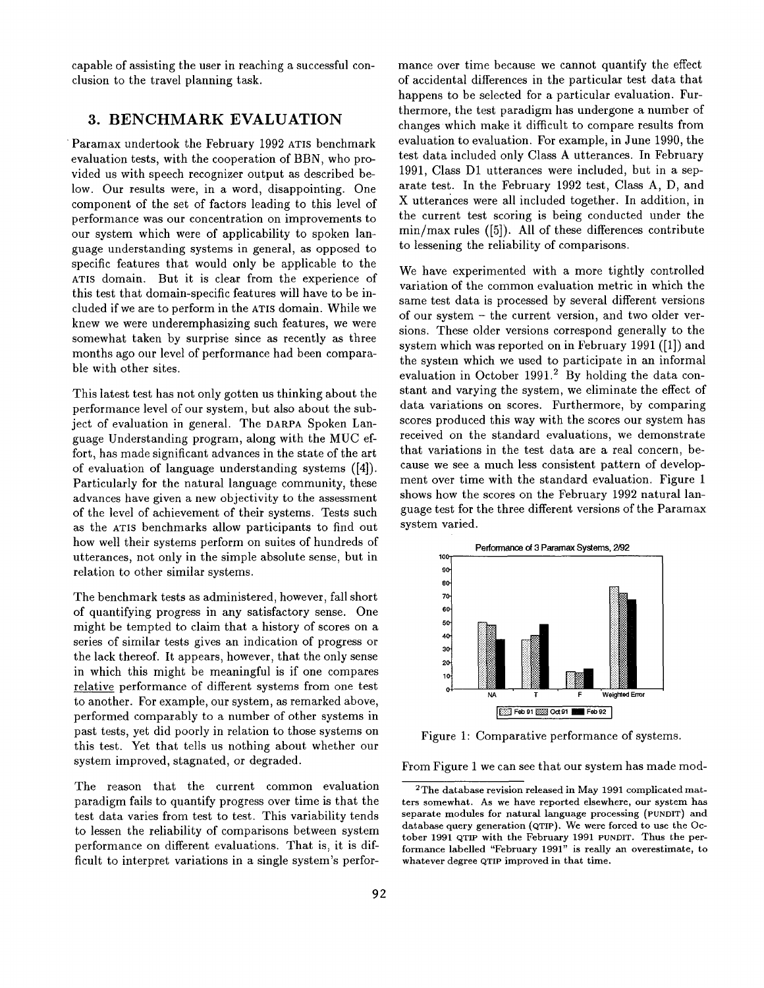capable of assisting the user in reaching a successful conclusion to the travel planning task.

## **3. BENCHMARK** EVALUATION

Paramax undertook the February 1992 ATIS benchmark evaluation tests, with the cooperation of BBN, who provided us with speech recognizer output as described below. Our results were, in a word, disappointing. One component of the set of factors leading to this level of performance was our concentration on improvements to our system which were of applicability to spoken language understanding systems in general, as opposed to specific features that would only be applicable to the ATIS domain. But it is clear from the experience of this test that domain-specific features will have to be included if we are to perform in the ATIS domain. While we knew we were underemphasizing such features, we were somewhat taken by surprise since as recently as three months ago our level of performance had been comparable with other sites.

This latest test has not only gotten us thinking about the performance level of our system, but also about the subject of evaluation in general. The DARPA Spoken Language Understanding program, along with the MUC effort, has made significant advances in the state of the art of evaluation of language understanding systems ([4]). Particularly for the natural language community, these advances have given a new objectivity to the assessment of the level of achievement of their systems. Tests such as the ATIS benchmarks allow participants to find out how well their systems perform on suites of hundreds of utterances, not only in the simple absolute sense, but in relation to other similar systems.

The benchmark tests as administered, however, fall short of quantifying progress in any satisfactory sense. One might be tempted to claim that a history of scores on a series of similar tests gives an indication of progress or the lack thereof. It appears, however, that the only sense in which this might be meaningful is if one compares relative performance of different systems from one test to another. For example, our system, as remarked above, performed comparably to a number of other systems in past tests, yet did poorly in relation to those systems on this test. Yet that tells us nothing about whether our system improved, stagnated, or degraded.

The reason that the current common evaluation paradigm fails to quantify progress over time is that the test data varies from test to test. This variability tends to lessen the reliability of comparisons between system performance on different evaluations. That is, it is difficult to interpret variations in a single system's performance over time because we cannot quantify the effect of accidental differences in the particular test data that happens to be selected for a particular evaluation. Furthermore, the test paradigm has undergone a number of changes which make it difficult to compare results from evaluation to evaluation. For example, in June 1990, the test data included only Class A utterances. In February 1991, Class D1 utterances were included, but in a separate test. In the February 1992 test, Class A, D, and X utterarices were all included together. In addition, in the current test scoring is being conducted under the min/max rules ([5]). All of these differences contribute to lessening the reliability of comparisons.

We have experimented with a more tightly controlled variation of the common evaluation metric in which the same test data is processed by several different versions of our system - the current version, and two older versions. These older versions correspond generally to the system which was reported on in February 1991 ([1]) and the system which we used to participate in an informal evaluation in October 1991.<sup>2</sup> By holding the data constant and varying the system, we eliminate the effect of data variations on scores. Furthermore, by comparing scores produced this way with the scores our system has received on the standard evaluations, we demonstrate that variations in the test data are a real concern, because we see a much less consistent pattern of development over time with the standard evaluation. Figure 1 shows how the scores on the February 1992 natural language test for the three different versions of the Paramax system varied.



Figure 1: Comparative performance of systems.

From Figure 1 we can see that our system has made mod-

<sup>2</sup>The database revision released in May 1991 complicated matters somewhat. As we have reported elsewhere, our system has separate modules for natural language processing (PUNDIT) and database query generation (QTIP). We were forced to use the October 1991 QTIP with the February 1991 PUNDIT. Thus the performance labelled "February 1991" is really an overestimate, to whatever degree QTIP improved in that time.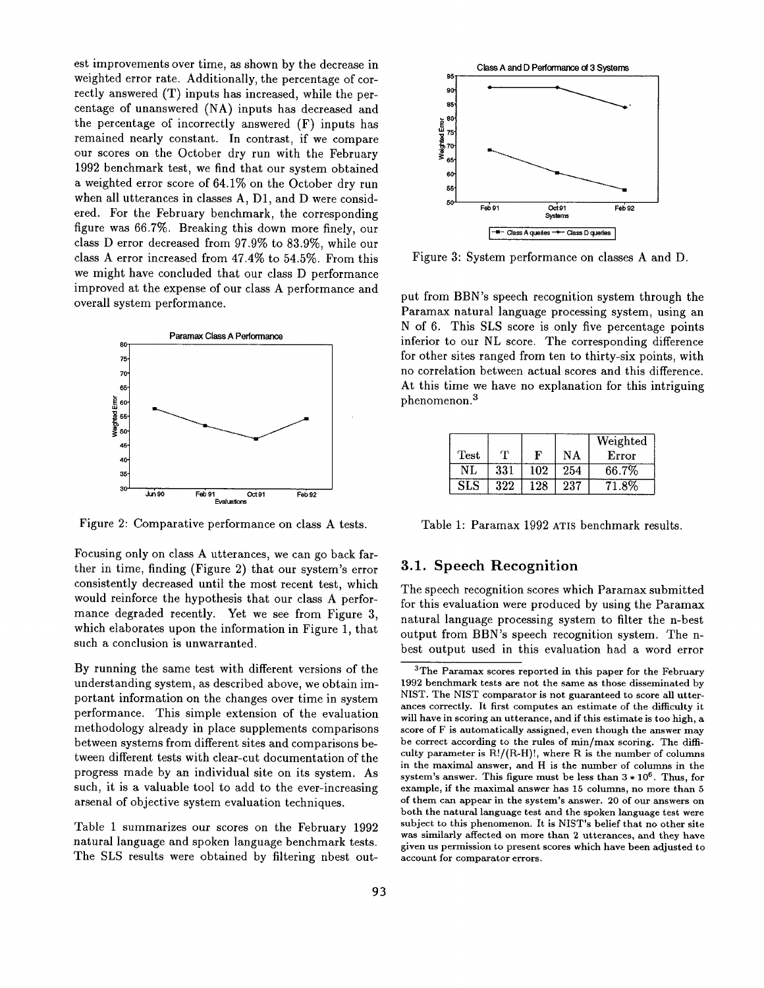est improvements over time, as shown by the decrease in weighted error rate. Additionally, the percentage of correctly answered (T) inputs has increased, while the percentage of unanswered (NA) inputs has decreased and the percentage of incorrectly answered (F) inputs has remained nearly constant. In contrast, if we compare our scores on the October dry run with the February 1992 benchmark test, we find that our system obtained a weighted error score of 64.1% on the October dry run when all utterances in classes A, D1, and D were considered. For the February benchmark, the corresponding figure was 66.7%. Breaking this down more finely, our class D error decreased from 97.9% to 83.9%, while our class A error increased from 47.4% to 54.5%. From this we might have concluded that our class D performance improved at the expense of our class A performance and overall system performance.



Figure 2: Comparative performance on class A tests.

Focusing only on class A utterances, we can go back farther in time, finding (Figure 2) that our system's error consistently decreased until the most recent test, which would reinforce the hypothesis that our class A performance degraded recently. Yet we see from Figure 3, which elaborates upon the information in Figure 1, that such a conclusion is unwarranted.

By running the same test with different versions of the understanding system, as described above, we obtain important information on the changes over time in system performance. This simple extension of the evaluation methodology already in place supplements comparisons between systems from different sites and comparisons between different tests with clear-cut documentation of the progress made by an individual site on its system. As such, it is a valuable tool to add to the ever-increasing arsenal of objective system evaluation techniques.

Table 1 summarizes our scores on the February 1992 natural language and spoken language benchmark tests. The SLS results were obtained by filtering nbest out-



Figure 3: System performance on classes A and D.

put from BBN's speech recognition system through the Paramax natural language processing system, using an N of 6. This SLS score is only five percentage points inferior to our NL score. The corresponding difference for other sites ranged from ten to thirty-six points, with no correlation between actual scores and this difference. At this time we have no explanation for this intriguing phenomenon. 3

|      |     |     |     | Weighted |
|------|-----|-----|-----|----------|
| Test | т   | F   | ΝA  | Error    |
| NL   | 331 | 102 | 254 | 66.7%    |
| SLS  | 322 | 128 | 237 | 8%       |

Table 1: Paramax 1992 ATIS benchmark results.

## **3.1. Speech Recognition**

The speech recognition scores which Paramax submitted for this evaluation were produced by using the Paramax natural language processing system to filter the n-best output from BBN's speech recognition system. The nbest output used in this evaluation had a word error

<sup>3</sup>The Paramax scores reported in this paper for the February 1992 benchmark tests are not the same as those disseminated by NIST. The NIST comparator is not guaranteed to score all utterances correctly. It first computes an estimate of the difficulty it will have in scoring an utterance, and if this estimate is too high, a score of F is automatically assigned, even though the answer may be correct according to the rules of min/max scoring. The difficulty parameter is  $R!/(R-H)!$ , where  $R$  is the number of columns in the maximal answer, and H is the number of columns in **the**  system's answer. This figure must be less than  $3 * 10^6$ . Thus, for example, if the maximal answer has 15 columns, no more than 5 of them can appear in the system's answer. 20 of our answers on both the natural language test and the spoken language test were subject to this phenomenon. It is NIST's belief that no **other site**  was similarly affected on more than 2 utterances, and they have given us permission to present scores which have been adjusted to account for comparator errors.